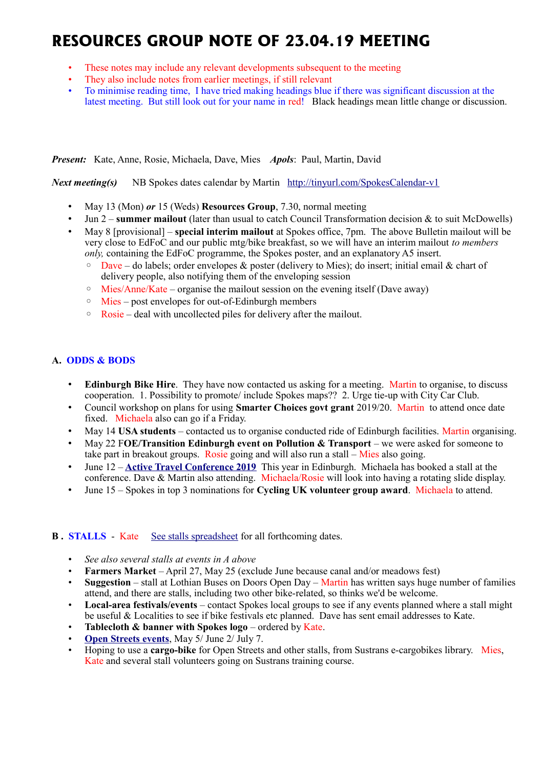# **RESOURCES GROUP NOTE OF 23.04.19 MEETING**

- These notes may include any relevant developments subsequent to the meeting
- They also include notes from earlier meetings, if still relevant
- To minimise reading time, I have tried making headings blue if there was significant discussion at the latest meeting. But still look out for your name in red! Black headings mean little change or discussion.

*Present:* Kate, Anne, Rosie, Michaela, Dave, Mies *Apols*: Paul, Martin, David

*Next meeting(s)*NB Spokes dates calendar by Martin <http://tinyurl.com/SpokesCalendar-v1>

- May 13 (Mon) *or* 15 (Weds) **Resources Group**, 7.30, normal meeting
- Jun 2 **summer mailout** (later than usual to catch Council Transformation decision & to suit McDowells)
- May 8 [provisional] **special interim mailout** at Spokes office, 7pm. The above Bulletin mailout will be very close to EdFoC and our public mtg/bike breakfast, so we will have an interim mailout *to members only,* containing the EdFoC programme, the Spokes poster, and an explanatory A5 insert.
	- $\circ$  Dave do labels; order envelopes & poster (delivery to Mies); do insert; initial email & chart of delivery people, also notifying them of the enveloping session
	- $\circ$  Mies/Anne/Kate organise the mailout session on the evening itself (Dave away)
	- Mies post envelopes for out-of-Edinburgh members
	- Rosie deal with uncollected piles for delivery after the mailout.

## **A. ODDS & BODS**

- **Edinburgh Bike Hire**. They have now contacted us asking for a meeting. Martin to organise, to discuss cooperation. 1. Possibility to promote/ include Spokes maps?? 2. Urge tie-up with City Car Club.
- Council workshop on plans for using **Smarter Choices govt grant** 2019/20. Martin to attend once date fixed. Michaela also can go if a Friday.
- May 14 **USA students** contacted us to organise conducted ride of Edinburgh facilities. Martin organising.
- May 22 F**OE/Transition Edinburgh event on Pollution & Transport** we were asked for someone to take part in breakout groups. Rosie going and will also run a stall  $-\overline{\text{Mies}}$  also going.
- June 12 **[Active Travel Conference 2019](https://mailchi.mp/1a0730790840/scotlands-active-travel-conference-2019-registration-now-open?e=78da4eaa82)** This year in Edinburgh. Michaela has booked a stall at the conference. Dave & Martin also attending. Michaela/Rosie will look into having a rotating slide display.
- June 15 Spokes in top 3 nominations for **Cycling UK volunteer group award**. Michaela to attend.

## **B.** STALLS - Kate [See stalls spreadsheet](https://docs.google.com/spreadsheets/d/1ixmHbC_ROc0P1GdGfFFx5hFzYwe4wZuTg5QcqDY7yWQ/edit?usp=drivesdk) for all forthcoming dates.

- *See also several stalls at events in A above*
- **Farmers Market** April 27, May 25 (exclude June because canal and/or meadows fest)
- **Suggestion** stall at Lothian Buses on Doors Open Day Martin has written says huge number of families attend, and there are stalls, including two other bike-related, so thinks we'd be welcome.
- **Local-area festivals/events** contact Spokes local groups to see if any events planned where a stall might be useful & Localities to see if bike festivals etc planned. Dave has sent email addresses to Kate.
- **Tablecloth & banner with Spokes logo** ordered by Kate.
- **[Open Streets events](http://www.edinburgh.gov.uk/connectingplaces/info/9/consultation/20/open_streets_consultation)**, May 5/ June 2/ July 7.
- Hoping to use a **cargo-bike** for Open Streets and other stalls, from Sustrans e-cargobikes library. Mies, Kate and several stall volunteers going on Sustrans training course.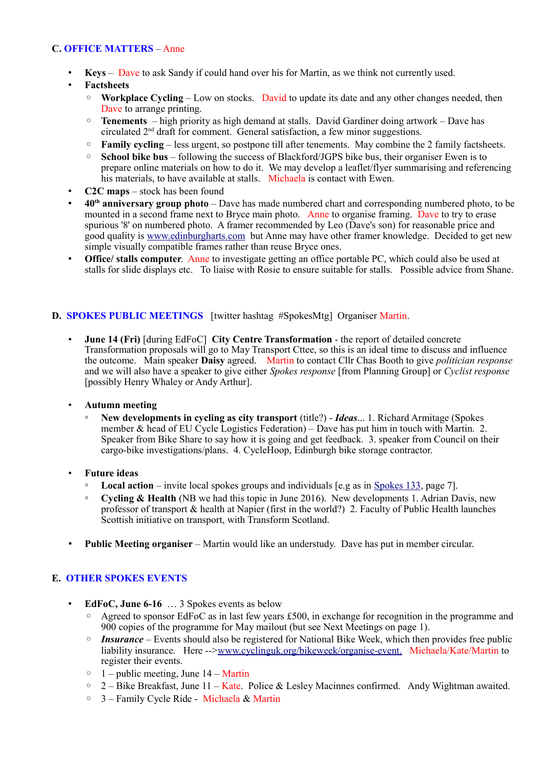#### **C. OFFICE MATTERS** – Anne

- **Keys** Dave to ask Sandy if could hand over his for Martin, as we think not currently used.
- **Factsheets**
	- **Workplace Cycling** Low on stocks. David to update its date and any other changes needed, then Dave to arrange printing.
	- **Tenements**  high priority as high demand at stalls. David Gardiner doing artwork Dave has circulated 2nd draft for comment. General satisfaction, a few minor suggestions.
	- **Family cycling** less urgent, so postpone till after tenements. May combine the 2 family factsheets.
	- **School bike bus** following the success of Blackford/JGPS bike bus, their organiser Ewen is to prepare online materials on how to do it. We may develop a leaflet/flyer summarising and referencing his materials, to have available at stalls. Michaela is contact with Ewen.
- **C2C maps** stock has been found
- **40th anniversary group photo** Dave has made numbered chart and corresponding numbered photo, to be mounted in a second frame next to Bryce main photo. Anne to organise framing. Dave to try to erase spurious '8' on numbered photo. A framer recommended by Leo (Dave's son) for reasonable price and good quality is [www.edinburgharts.com](http://www.edinburgharts.com/) but Anne may have other framer knowledge. Decided to get new simple visually compatible frames rather than reuse Bryce ones.
- **Office/ stalls computer.** Anne to investigate getting an office portable PC, which could also be used at stalls for slide displays etc. To liaise with Rosie to ensure suitable for stalls. Possible advice from Shane.

#### **D. SPOKES PUBLIC MEETINGS** [twitter hashtag #SpokesMtg] Organiser Martin.

- **June 14 (Fri)** [during EdFoC] **City Centre Transformation** the report of detailed concrete Transformation proposals will go to May Transport Cttee, so this is an ideal time to discuss and influence the outcome. Main speaker **Daisy** agreed. Martin to contact Cllr Chas Booth to give *politician response* and we will also have a speaker to give either *Spokes response* [from Planning Group] or *Cyclist response* [possibly Henry Whaley or Andy Arthur].
- **Autumn meeting**
	- **New developments in cycling as city transport** (title?) *Ideas*... 1. Richard Armitage (Spokes member & head of EU Cycle Logistics Federation) – Dave has put him in touch with Martin. 2. Speaker from Bike Share to say how it is going and get feedback. 3. speaker from Council on their cargo-bike investigations/plans. 4. CycleHoop, Edinburgh bike storage contractor.
- **Future ideas**
	- **Local action** invite local spokes groups and individuals [e.g as in [Spokes 133,](http://www.spokes.org.uk/wp-content/uploads/2019/02/pall-at-95.pdf) page 7].
	- **Cycling & Health** (NB we had this topic in June 2016). New developments 1. Adrian Davis, new professor of transport & health at Napier (first in the world?) 2. Faculty of Public Health launches Scottish initiative on transport, with Transform Scotland.
- **Public Meeting organiser** Martin would like an understudy. Dave has put in member circular.

## **E. OTHER SPOKES EVENTS**

- **EdFoC, June 6-16** … 3 Spokes events as below
	- Agreed to sponsor EdFoC as in last few years £500, in exchange for recognition in the programme and 900 copies of the programme for May mailout (but see Next Meetings on page 1).
	- *Insurance* Events should also be registered for National Bike Week, which then provides free public liability insurance. Here -->www.cyclinguk.org/bikeweek/organise-event. Michaela/Kate/Martin to register their events.
	- $\circ$  1 public meeting, June 14 Martin
	- $\degree$  2 Bike Breakfast, June 11 Kate. Police & Lesley Macinnes confirmed. Andy Wightman awaited.
	- 3 Family Cycle Ride Michaela & Martin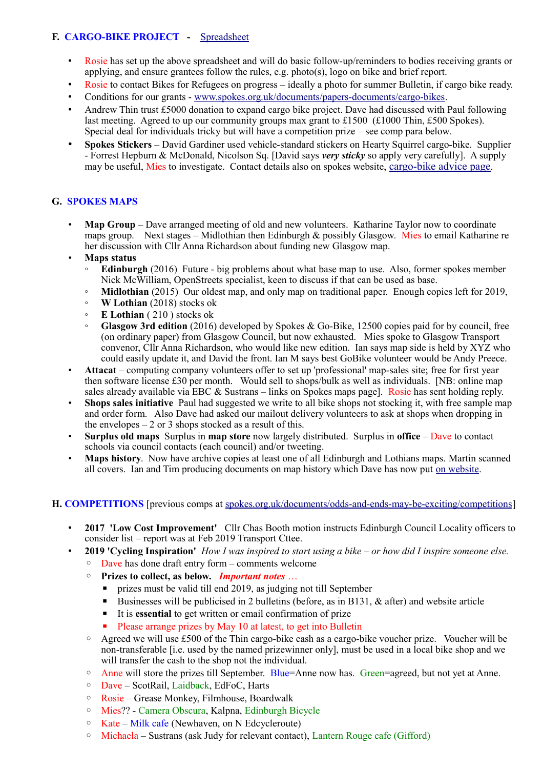## **F. CARGO-BIKE PROJECT -** [Spreadsheet](https://drive.google.com/drive/folders/1BuWIrWRXwrDyFuw-nDA8n9ms37oAeKwH)

- Rosie has set up the above spreadsheet and will do basic follow-up/reminders to bodies receiving grants or applying, and ensure grantees follow the rules, e.g. photo(s), logo on bike and brief report.
- Rosie to contact Bikes for Refugees on progress ideally a photo for summer Bulletin, if cargo bike ready.
- Conditions for our grants - [www.spokes.org.uk/documents/papers-documents/cargo-bikes.](http://www.spokes.org.uk/documents/papers-documents/cargo-bikes)
- Andrew Thin trust £5000 donation to expand cargo bike project. Dave had discussed with Paul following last meeting. Agreed to up our community groups max grant to £1500 (£1000 Thin, £500 Spokes). Special deal for individuals tricky but will have a competition prize – see comp para below.
- **Spokes Stickers** David Gardiner used vehicle-standard stickers on Hearty Squirrel cargo-bike. Supplier - Forrest Hepburn & McDonald, Nicolson Sq. [David says *very sticky* so apply very carefully]. A supply may be useful, Mies to investigate. Contact details also on spokes website, [cargo-bike advice page](http://www.spokes.org.uk/documents/advice/cargo-bikes/).

## **G. SPOKES MAPS**

• **Map Group** – Dave arranged meeting of old and new volunteers. Katharine Taylor now to coordinate maps group. Next stages – Midlothian then Edinburgh & possibly Glasgow. Mies to email Katharine re her discussion with Cllr Anna Richardson about funding new Glasgow map.

## • **Maps status**

- **Edinburgh** (2016) Future big problems about what base map to use. Also, former spokes member Nick McWilliam, OpenStreets specialist, keen to discuss if that can be used as base.
- **Midlothian** (2015) Our oldest map, and only map on traditional paper. Enough copies left for 2019,
- **W Lothian** (2018) stocks ok
- **E Lothian** ( 210 ) stocks ok
- **Glasgow 3rd edition** (2016) developed by Spokes & Go-Bike, 12500 copies paid for by council, free (on ordinary paper) from Glasgow Council, but now exhausted. Mies spoke to Glasgow Transport convenor, Cllr Anna Richardson, who would like new edition. Ian says map side is held by XYZ who could easily update it, and David the front. Ian M says best GoBike volunteer would be Andy Preece.
- **Attacat** computing company volunteers offer to set up 'professional' map-sales site; free for first year then software license £30 per month. Would sell to shops/bulk as well as individuals. [NB: online map sales already available via EBC & Sustrans – links on Spokes maps page]. Rosie has sent holding reply.
- **Shops sales initiative** Paul had suggested we write to all bike shops not stocking it, with free sample map and order form. Also Dave had asked our mailout delivery volunteers to ask at shops when dropping in the envelopes  $-2$  or 3 shops stocked as a result of this.
- **Surplus old maps** Surplus in **map store** now largely distributed. Surplus in **office** Dave to contact schools via council contacts (each council) and/or tweeting.
- **Maps history**. Now have archive copies at least one of all Edinburgh and Lothians maps. Martin scanned all covers. Ian and Tim producing documents on map history which Dave has now put [on website.](http://www.spokes.org.uk/spokes-maps/#Old)

## **H. COMPETITIONS** [previous comps at [spokes.org.uk/documents/odds-and-ends-may-be-exciting/competitions\]](http://www.spokes.org.uk/documents/odds-and-ends-may-be-exciting/competitions/)

- **2017 'Low Cost Improvement'** Cllr Chas Booth motion instructs Edinburgh Council Locality officers to consider list – report was at Feb 2019 Transport Cttee.
- **2019 'Cycling Inspiration'** *How I was inspired to start using a bike or how did I inspire someone else.* 
	- Dave has done draft entry form comments welcome
	- **Prizes to collect, as below.** *Important notes* …
		- prizes must be valid till end 2019, as judging not till September
		- Businesses will be publicised in 2 bulletins (before, as in B131, & after) and website article
		- It is **essential** to get written or email confirmation of prize
		- Please arrange prizes by May 10 at latest, to get into Bulletin
	- Agreed we will use £500 of the Thin cargo-bike cash as a cargo-bike voucher prize. Voucher will be non-transferable [i.e. used by the named prizewinner only], must be used in a local bike shop and we will transfer the cash to the shop not the individual.
	- Anne will store the prizes till September. Blue=Anne now has. Green=agreed, but not yet at Anne.
	- Dave ScotRail, Laidback, EdFoC, Harts
	- Rosie Grease Monkey, Filmhouse, Boardwalk
	- Mies?? Camera Obscura, Kalpna, Edinburgh Bicycle
	- Kate Milk cafe (Newhaven, on N Edcycleroute)
	- Michaela Sustrans (ask Judy for relevant contact), Lantern Rouge cafe (Gifford)